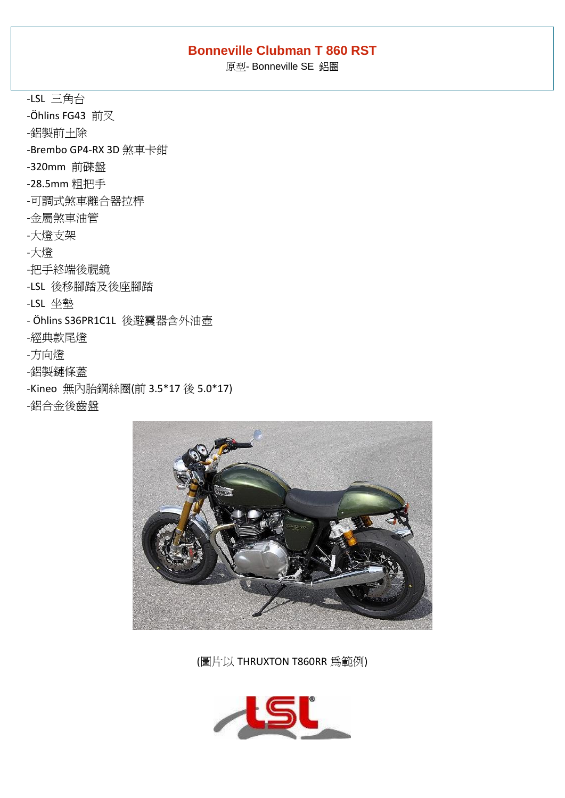### **Bonneville Clubman T 860 RST**

原型- Bonneville SE 鋁圈

-LSL 三角台 -Öhlins FG43 前叉 -鋁製前土除 -Brembo GP4-RX 3D 煞車卡鉗 -320mm 前碟盤 -28.5mm 粗把手 -可調式煞車離合器拉桿 -金屬煞車油管 -大燈支架 -大燈 -把手終端後視鏡 -LSL 後移腳踏及後座腳踏 -LSL 坐墊 - Öhlins S36PR1C1L 後避震器含外油壺 -經典款尾燈 -方向燈 -鋁製鏈條蓋 -Kineo 無內胎鋼絲圈(前 3.5\*17 後 5.0\*17) -鋁合金後齒盤



(圖片以 THRUXTON T860RR 為範例)

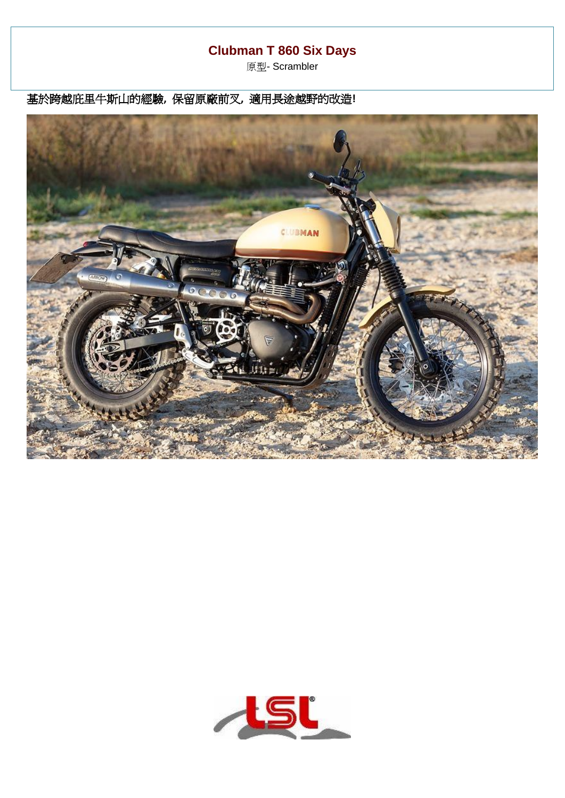## **Clubman T 860 Six Days**

原型- Scrambler

基於跨越庇里牛斯山的經驗**,** 保留原廠前叉**,** 適用長途越野的改造**!**



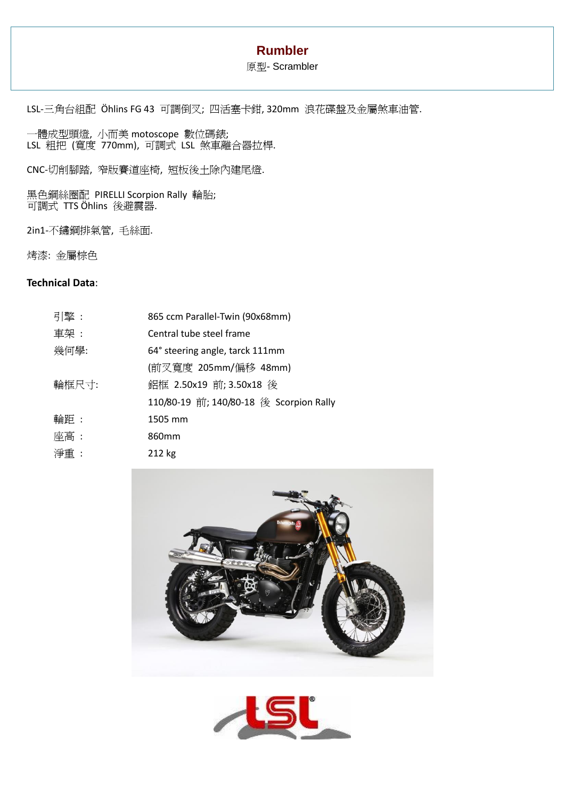### **Rumbler**

#### 原型- Scrambler

LSL-三角台組配 Öhlins FG 43 可調倒叉; 四活塞卡鉗, 320mm 浪花碟盤及金屬煞車油管.

一體成型頭燈, 小而美 motoscope 數位碼錶; LSL 粗把 (寬度 770mm), 可調式 LSL 煞車離合器拉桿.

CNC-切削腳踏, 窄版賽道座椅, 短板後土除內建尾燈.

黑色鋼絲圈配 PIRELLI Scorpion Rally 輪胎; 可調式 TTS Öhlins 後避震器.

2in1-不鏽鋼排氣管, 毛絲面.

烤漆: 金屬棕色

#### **Technical Data**:

| 引擎:   | 865 ccm Parallel-Twin (90x68mm)         |
|-------|-----------------------------------------|
| 車架 :  | Central tube steel frame                |
| 幾何學:  | 64° steering angle, tarck 111mm         |
|       | (前叉寬度 205mm/偏移 48mm)                    |
| 輪框尺寸: | 鋁框 2.50x19 前; 3.50x18 後                 |
|       | 110/80-19 前; 140/80-18 後 Scorpion Rally |
| 輪距:   | 1505 mm                                 |
| 座高:   | 860 <sub>mm</sub>                       |
| 淨重 :  | 212 kg                                  |



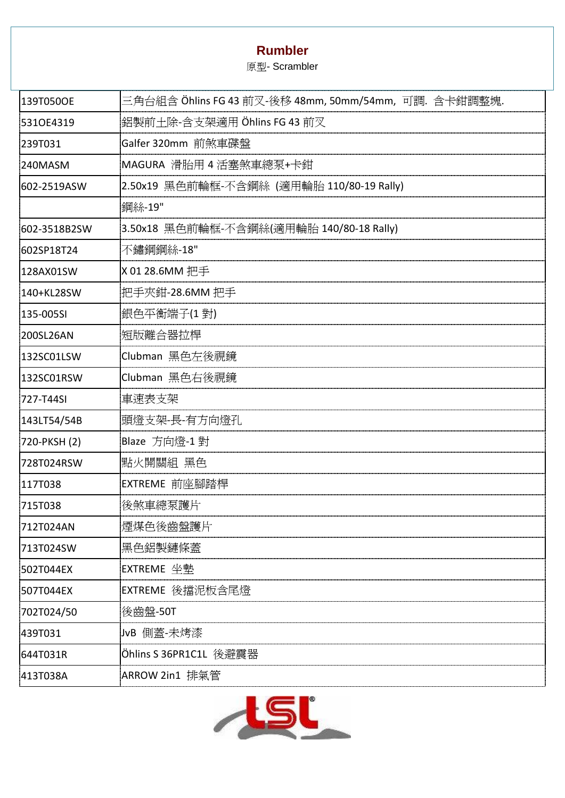## **Rumbler**

原型- Scrambler

| 139T050OE    | 三角台組含 Öhlins FG 43 前叉-後移 48mm, 50mm/54mm, 可調. 含卡鉗調整塊. |
|--------------|-------------------------------------------------------|
| 5310E4319    | 鋁製前土除-含支架適用 Öhlins FG 43 前叉                           |
| 239T031      | Galfer 320mm 前煞車碟盤                                    |
| 240MASM      | MAGURA 滑胎用4活塞煞車總泵+卡鉗                                  |
| 602-2519ASW  | 2.50x19 黑色前輪框-不含鋼絲 (適用輪胎 110/80-19 Rally)             |
|              | 鋼絲-19"                                                |
| 602-3518B2SW | 3.50x18 黑色前輪框-不含鋼絲(適用輪胎 140/80-18 Rally)              |
| 602SP18T24   | 不鏽鋼鋼絲-18"                                             |
| 128AX01SW    | X 01 28.6MM 把手                                        |
| 140+KL28SW   | 把手夾鉗-28.6MM 把手                                        |
| 135-005SI    | 銀色平衡端子(1 對)                                           |
| 200SL26AN    | 短版離合器拉桿                                               |
| 132SC01LSW   | Clubman 黑色左後視鏡                                        |
| 132SC01RSW   | Clubman 黑色右後視鏡                                        |
| 727-T44SI    | 車速表支架                                                 |
| 143LT54/54B  | 頭燈支架-長-有方向燈孔                                          |
| 720-PKSH (2) | Blaze 方向燈-1 對                                         |
| 728T024RSW   | 點火開關組 黑色                                              |
| 117T038      | EXTREME 前座腳踏桿                                         |
| 715T038      | 後煞車總泵護片                                               |
| 712T024AN    | 煙煤色後齒盤護片                                              |
| 713T024SW    | 黑色鋁製鏈條蓋                                               |
| 502T044EX    | EXTREME 坐墊                                            |
| 507T044EX    | EXTREME 後擋泥板含尾燈                                       |
| 702T024/50   | 後齒盤-50T                                               |
| 439T031      | JvB 側蓋-未烤漆                                            |
| 644T031R     | Öhlins S 36PR1C1L 後避震器                                |
| 413T038A     | ARROW 2in1 排氣管                                        |

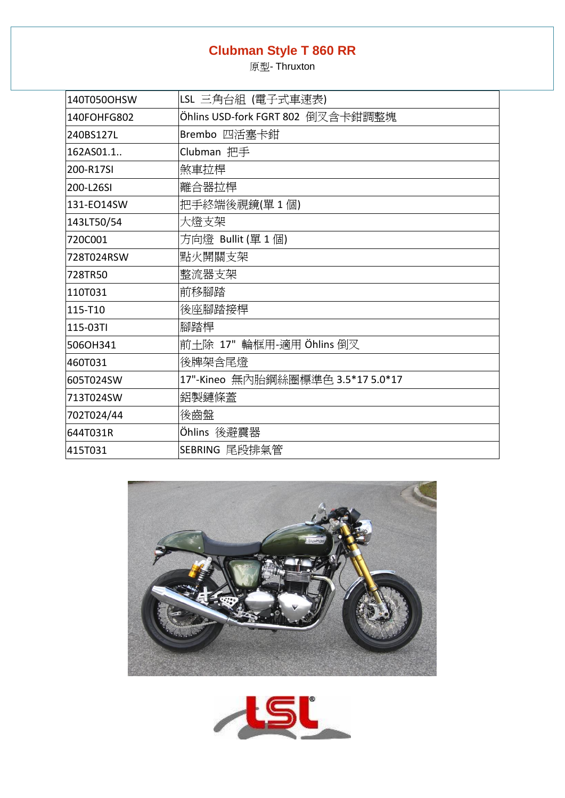# **Clubman Style T 860 RR**

原型- Thruxton

| 140T050OHSW | LSL 三角台組 (電子式車速表)                 |
|-------------|-----------------------------------|
| 140FOHFG802 | Öhlins USD-fork FGRT 802 倒叉含卡鉗調整塊 |
| 240BS127L   | Brembo 四活塞卡鉗                      |
| 162AS01.1.  | Clubman 把手                        |
| 200-R17SI   | 煞車拉桿                              |
| 200-L26SI   | 離合器拉桿                             |
| 131-EO14SW  | 把手終端後視鏡(單1個)                      |
| 143LT50/54  | 大燈支架                              |
| 720C001     | 方向燈 Bullit(單1個)                   |
| 728T024RSW  | 點火開關支架                            |
| 728TR50     | 整流器支架                             |
| 110T031     | 前移腳踏                              |
| 115-T10     | 後座腳踏接桿                            |
| 115-03TI    | 腳踏桿                               |
| 506OH341    | 前土除 17" 輪框用-適用 Öhlins 倒叉          |
| 460T031     | 後牌架含尾燈                            |
| 605T024SW   | 17"-Kineo 無內胎鋼絲圈標準色 3.5*17 5.0*17 |
| 713T024SW   | 鋁製鏈條蓋                             |
| 702T024/44  | 後齒盤                               |
| 644T031R    | Öhlins 後避震器                       |
| 415T031     | SEBRING 尾段排氣管                     |